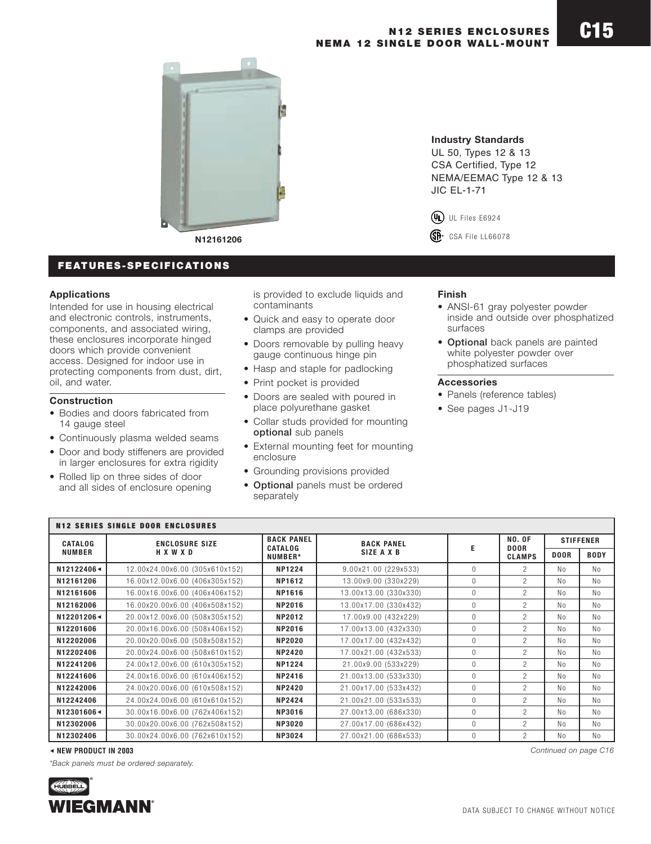

**N12161206**

# **FEATURES-SPECIFICATIONS**

### **Applications**

Intended for use in housing electrical and electronic controls, instruments, components, and associated wiring, these enclosures incorporate hinged doors which provide convenient access. Designed for indoor use in protecting components from dust, dirt, oil, and water.

## **Construction**

- Bodies and doors fabricated from 14 gauge steel
- Continuously plasma welded seams
- Door and body stiffeners are provided in larger enclosures for extra rigidity
- Rolled lip on three sides of door and all sides of enclosure opening

is provided to exclude liquids and contaminants

- Quick and easy to operate door clamps are provided
- Doors removable by pulling heavy gauge continuous hinge pin
- Hasp and staple for padlocking
- Print pocket is provided
- Doors are sealed with poured in place polyurethane gasket
- Collar studs provided for mounting **optional** sub panels
- External mounting feet for mounting enclosure
- Grounding provisions provided
- **Optional** panels must be ordered separately

### **Industry Standards**

UL 50, Types 12 & 13 CSA Certified, Type 12 NEMA/EEMAC Type 12 & 13 JIC EL-1-71

**®** UL Files E6924

R CSA File LL66078

### **Finish**

- ANSI-61 gray polyester powder inside and outside over phosphatized surfaces
- **Optional** back panels are painted white polyester powder over phosphatized surfaces

#### **Accessories**

- Panels (reference tables)
- See pages J1-J19

| <b>N12 SERIES SINGLE DOOR ENCLOSURES</b>                                                                                  |                                |                                  |                       |                |                                               |                  |                |
|---------------------------------------------------------------------------------------------------------------------------|--------------------------------|----------------------------------|-----------------------|----------------|-----------------------------------------------|------------------|----------------|
| <b>CATALOG</b>                                                                                                            | <b>ENCLOSURE SIZE</b>          | <b>BACK PANEL</b>                | <b>BACK PANEL</b>     |                | <b>NO. OF</b><br><b>DOOR</b><br><b>CLAMPS</b> | <b>STIFFENER</b> |                |
| <b>NUMBER</b>                                                                                                             | <b>HXWXD</b>                   | <b>CATALOG</b><br><b>NUMBER*</b> | SIZE A X B            |                |                                               | <b>DOOR</b>      | <b>BODY</b>    |
| N12122406<br>12122406<br>12122406<br>12122406<br>12122406<br>12122406<br>12122406<br>12122406<br>12122406<br>12122406<br> | 12.00x24.00x6.00 (305x610x152) | <b>NP1224</b>                    | 9.00x21.00 (229x533)  | $\Omega$       | $\mathcal{P}$                                 | N <sub>0</sub>   | N <sub>0</sub> |
| N12161206                                                                                                                 | 16.00x12.00x6.00 (406x305x152) | NP1612                           | 13.00x9.00 (330x229)  | $\Omega$       | $\mathcal{P}$                                 | N <sub>0</sub>   | N <sub>0</sub> |
| N12161606                                                                                                                 | 16.00x16.00x6.00 (406x406x152) | <b>NP1616</b>                    | 13.00x13.00 (330x330) | $\mathbf{0}$   | $\mathcal{P}$                                 | N <sub>0</sub>   | N <sub>0</sub> |
| N12162006                                                                                                                 | 16.00x20.00x6.00 (406x508x152) | <b>NP2016</b>                    | 13.00x17.00 (330x432) | $\Omega$       | $\mathcal{P}$                                 | No               | N <sub>0</sub> |
| N12201206<                                                                                                                | 20.00x12.00x6.00 (508x305x152) | <b>NP2012</b>                    | 17.00x9.00 (432x229)  | $\overline{0}$ | $\mathcal{P}$                                 | No               | N <sub>0</sub> |
| N12201606                                                                                                                 | 20.00x16.00x6.00 (508x406x152) | <b>NP2016</b>                    | 17.00x13.00 (432x330) | $\Omega$       | $\mathcal{P}$                                 | N <sub>0</sub>   | N <sub>0</sub> |
| N12202006                                                                                                                 | 20.00x20.00x6.00 (508x508x152) | <b>NP2020</b>                    | 17.00x17.00 (432x432) | $\mathbf{0}$   | $\overline{2}$                                | N <sub>0</sub>   | No             |
| N12202406                                                                                                                 | 20.00x24.00x6.00 (508x610x152) | <b>NP2420</b>                    | 17.00x21.00 (432x533) | $\mathbf{0}$   | $\mathcal{P}$                                 | N <sub>0</sub>   | No             |
| N12241206                                                                                                                 | 24.00x12.00x6.00 (610x305x152) | <b>NP1224</b>                    | 21.00x9.00 (533x229)  | $\mathbf{0}$   | $\mathcal{P}$                                 | N <sub>0</sub>   | No             |
| N12241606                                                                                                                 | 24.00x16.00x6.00 (610x406x152) | <b>NP2416</b>                    | 21.00x13.00 (533x330) | $\mathbf{0}$   | $\overline{c}$                                | No               | No             |
| N12242006                                                                                                                 | 24.00x20.00x6.00 (610x508x152) | <b>NP2420</b>                    | 21.00x17.00 (533x432) | $\mathbf{0}$   | $\mathcal{P}$                                 | No               | N <sub>0</sub> |
| N12242406                                                                                                                 | 24.00x24.00x6.00 (610x610x152) | <b>NP2424</b>                    | 21.00x21.00 (533x533) | $\mathbf{0}$   | $\mathcal{P}$                                 | N <sub>0</sub>   | No             |
| N12301606<                                                                                                                | 30.00x16.00x6.00 (762x406x152) | <b>NP3016</b>                    | 27.00x13.00 (686x330) | $\mathbf{0}$   | $\mathcal{P}$                                 | N <sub>0</sub>   | No             |
| N12302006                                                                                                                 | 30.00x20.00x6.00 (762x508x152) | <b>NP3020</b>                    | 27.00x17.00 (686x432) | $\mathbf{0}$   | $\mathcal{P}$                                 | No               | No             |
| N12302406                                                                                                                 | 30.00x24.00x6.00 (762x610x152) | <b>NP3024</b>                    | 27.00x21.00 (686x533) | $\mathbf{0}$   | $\mathcal{P}$                                 | No               | No             |

#### 6 **NEW PRODUCT IN 2003** *Continued on page C16*

*\*Back panels must be ordered separately.*

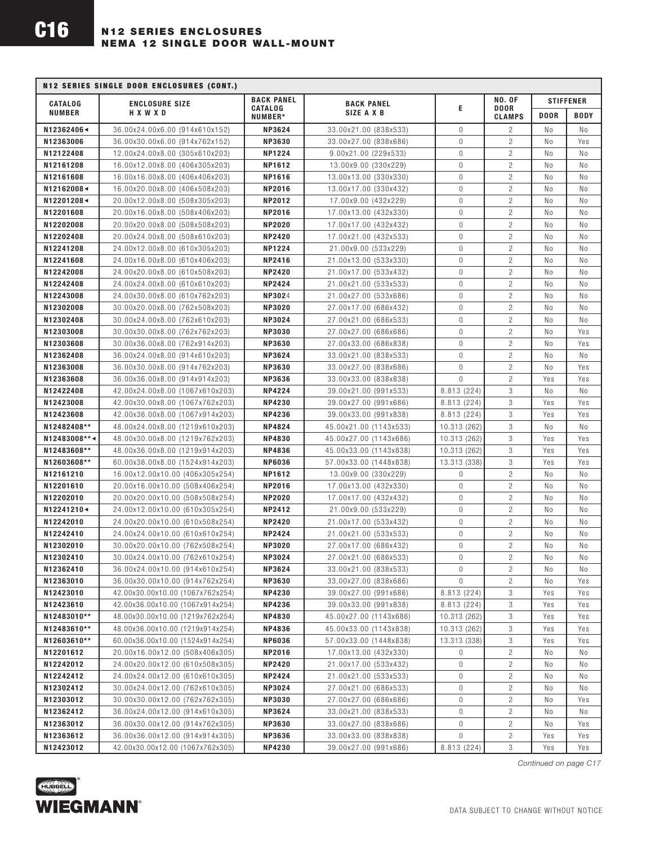| <b>N12 SERIES SINGLE DOOR ENCLOSURES (CONT.)</b> |                                                                    |                                                |                                               |                   |                                  |                  |                |
|--------------------------------------------------|--------------------------------------------------------------------|------------------------------------------------|-----------------------------------------------|-------------------|----------------------------------|------------------|----------------|
| <b>CATALOG</b>                                   | <b>ENCLOSURE SIZE</b><br>HXWXD                                     | <b>BACK PANEL</b><br><b>CATALOG</b><br>NUMBER* | <b>BACK PANEL</b><br>SIZE A X B               |                   | <b>NO. OF</b>                    | <b>STIFFENER</b> |                |
| <b>NUMBER</b>                                    |                                                                    |                                                |                                               | E                 | <b>DOOR</b><br><b>CLAMPS</b>     | <b>DOOR</b>      | <b>BODY</b>    |
| N12362406<                                       | 36.00x24.00x6.00 (914x610x152)                                     | <b>NP3624</b>                                  | 33.00x21.00 (838x533)                         | $\mathbf{0}$      | $\overline{c}$                   | No               | No             |
| N12363006                                        | 36.00x30.00x6.00 (914x762x152)                                     | <b>NP3630</b>                                  | 33.00x27.00 (838x686)                         | $\mathbf{0}$      | $\overline{c}$                   | No               | Yes            |
| N12122408                                        | 12.00x24.00x8.00 (305x610x203)                                     | <b>NP1224</b>                                  | 9.00x21.00 (229x533)                          | $\mathbf{0}$      | $\overline{c}$                   | No               | No             |
| N12161208                                        | 16.00x12.00x8.00 (406x305x203)                                     | <b>NP1612</b>                                  | 13.00x9.00 (330x229)                          | $\mathbf 0$       | $\overline{2}$                   | No               | No             |
| N12161608                                        | 16.00x16.00x8.00 (406x406x203)                                     | NP1616                                         | 13.00x13.00 (330x330)                         | $\mathbf{0}$      | $\overline{2}$                   | N <sub>0</sub>   | No             |
| N12162008<                                       | 16.00x20.00x8.00 (406x508x203)                                     | <b>NP2016</b>                                  | 13.00x17.00 (330x432)                         | $\mathbf{0}$      | $\overline{c}$                   | No               | No             |
| N12201208<                                       | 20.00x12.00x8.00 (508x305x203)                                     | <b>NP2012</b>                                  | 17.00x9.00 (432x229)                          | $\mathbf 0$       | $\overline{c}$                   | No               | No             |
| N12201608                                        | 20.00x16.00x8.00 (508x406x203)                                     | <b>NP2016</b>                                  | 17.00x13.00 (432x330)                         | $\mathbf{0}$      | $\overline{c}$                   | No               | No             |
| N12202008                                        | 20.00x20.00x8.00 (508x508x203)                                     | <b>NP2020</b>                                  | 17.00x17.00 (432x432)                         | $\mathbf{0}$      | $\overline{c}$                   | No               | No             |
| N12202408                                        | 20.00x24.00x8.00 (508x610x203)                                     | <b>NP2420</b>                                  | 17.00x21.00 (432x533)                         | $\mathbf 0$       | $\overline{c}$                   | No               | No             |
| N12241208                                        | 24.00x12.00x8.00 (610x305x203)                                     | <b>NP1224</b>                                  | 21.00x9.00 (533x229)                          | $\mathbf{0}$      | $\overline{c}$                   | No               | N <sub>0</sub> |
| N12241608                                        | 24.00x16.00x8.00 (610x406x203)                                     | <b>NP2416</b>                                  | 21.00x13.00 (533x330)                         | $\mathbf 0$       | $\overline{c}$                   | No               | No             |
| N12242008                                        | 24.00x20.00x8.00 (610x508x203)                                     | <b>NP2420</b>                                  | 21.00x17.00 (533x432)                         | $\mathbf 0$       | $\overline{c}$                   | No               | No             |
| N12242408                                        | 24.00x24.00x8.00 (610x610x203)                                     | <b>NP2424</b>                                  | 21.00x21.00 (533x533)                         | $\mathbf{0}$      | $\overline{c}$                   | No               | No             |
| N12243008                                        | 24.00x30.00x8.00 (610x762x203)                                     | <b>NP3024</b>                                  | 21.00x27.00 (533x686)                         | $\mathbf 0$       | $\overline{c}$                   | No               | No             |
| N12302008                                        | 30.00x20.00x8.00 (762x508x203)                                     | <b>NP3020</b>                                  | 27.00x17.00 (686x432)                         | $\mathbf 0$       | $\overline{c}$                   | No               | No             |
| N12302408                                        | 30.00x24.00x8.00 (762x610x203)                                     | <b>NP3024</b>                                  | 27.00x21.00 (686x533)                         | $\mathbf{0}$      | $\overline{2}$                   | No               | Νo             |
| N12303008                                        | 30.00x30.00x8.00 (762x762x203)                                     | <b>NP3030</b>                                  | 27.00x27.00 (686x686)                         | $\mathbf 0$       | $\overline{c}$                   | No               | Yes            |
| N12303608                                        | 30.00x36.00x8.00 (762x914x203)                                     | <b>NP3630</b>                                  | 27.00x33.00 (686x838)                         | $\mathbf{0}$      | $\overline{c}$                   | No               | Yes            |
| N12362408                                        | 36.00x24.00x8.00 (914x610x203)                                     | <b>NP3624</b>                                  | 33.00x21.00 (838x533)                         | $\mathbf{0}$      | $\overline{c}$                   | No               | Νo             |
| N12363008                                        | 36.00x30.00x8.00 (914x762x203)                                     | <b>NP3630</b>                                  | 33.00x27.00 (838x686)                         | $\mathbf 0$       | $\overline{c}$                   | No               | Yes            |
| N12363608                                        | 36.00x36.00x8.00 (914x914x203)                                     | <b>NP3636</b>                                  | 33.00x33.00 (838x838)                         | $\mathbf{0}$      | $\overline{c}$                   | Yes              | Yes            |
| N12422408                                        | 42.00x24.00x8.00 (1067x610x203)                                    | <b>NP4224</b>                                  | 39.00x21.00 (991x533)                         | 8.813 (224)       | 3                                | No               | Νo             |
| N12423008                                        | 42.00x30.00x8.00 (1067x762x203)                                    | <b>NP4230</b>                                  | 39.00x27.00 (991x686)                         | 8.813 (224)       | 3                                | Yes              | Yes            |
| N12423608                                        | 42.00x36.00x8.00 (1067x914x203)                                    | <b>NP4236</b>                                  | 39.00x33.00 (991x838)                         | 8.813 (224)       | 3                                | Yes              | Yes            |
| N12482408**                                      | 48.00x24.00x8.00 (1219x610x203)                                    | <b>NP4824</b>                                  | 45.00x21.00 (1143x533)                        | 10.313 (262)      | 3                                | No               | No             |
| N12483008**<                                     | 48.00x30.00x8.00 (1219x762x203)                                    | <b>NP4830</b>                                  | 45.00x27.00 (1143x686)                        | 10.313 (262)      | 3                                | Yes              | Yes            |
| N12483608**                                      | 48.00x36.00x8.00 (1219x914x203)                                    | <b>NP4836</b>                                  | 45.00x33.00 (1143x838)                        | 10.313 (262)      | 3                                | Yes              | Yes            |
| N12603608**                                      | 60.00x36.00x8.00 (1524x914x203)                                    | <b>NP6036</b>                                  | 57.00x33.00 (1448x838)                        | 13.313 (338)      | 3                                | Yes              | Yes            |
| N12161210                                        | 16.00x12.00x10.00 (406x305x254)                                    | NP1612                                         | 13.00x9.00 (330x229)                          | 0<br>$\mathbf{0}$ | $\overline{c}$<br>$\overline{c}$ | No<br>No         | No             |
| N12201610                                        | 20.00x16.00x10.00 (508x406x254)<br>20.00x20.00x10.00 (508x508x254) | <b>NP2016</b>                                  | 17.00x13.00 (432x330)                         |                   | $\overline{c}$                   |                  | No             |
| N12202010<br>N12241210<                          | 24.00x12.00x10.00 (610x305x254)                                    | <b>NP2020</b><br><b>NP2412</b>                 | 17.00x17.00 (432x432)<br>21.00x9.00 (533x229) | 0<br>$\mathbf 0$  | $\overline{c}$                   | No<br>No         | No<br>No       |
| N12242010                                        | 24.00x20.00x10.00 (610x508x254)                                    | <b>NP2420</b>                                  | 21.00x17.00 (533x432)                         | $\mathbf 0$       | $\overline{c}$                   | No               | N <sub>0</sub> |
| N12242410                                        | 24.00x24.00x10.00 (610x610x254)                                    | <b>NP2424</b>                                  | 21.00x21.00 (533x533)                         | 0                 | $\overline{2}$                   | No               | No             |
| N12302010                                        | 30.00x20.00x10.00 (762x508x254)                                    | <b>NP3020</b>                                  | 27.00x17.00 (686x432)                         | $\mathbf 0$       | $\overline{c}$                   | No               | No             |
| N12302410                                        | 30.00x24.00x10.00 (762x610x254)                                    | <b>NP3024</b>                                  | 27.00x21.00 (686x533)                         | $\Omega$          | $\overline{c}$                   | No               | No             |
| N12362410                                        | 36.00x24.00x10.00 (914x610x254)                                    | <b>NP3624</b>                                  | 33.00x21.00 (838x533)                         | 0                 | $\overline{c}$                   | No               | No             |
| N12363010                                        | 36.00x30.00x10.00 (914x762x254)                                    | <b>NP3630</b>                                  | 33.00x27.00 (838x686)                         | $\Omega$          | $\overline{2}$                   | No               | Yes            |
| N12423010                                        | 42.00x30.00x10.00 (1067x762x254)                                   | <b>NP4230</b>                                  | 39.00x27.00 (991x686)                         | 8.813 (224)       | 3                                | Yes              | Yes            |
| N12423610                                        | 42.00x36.00x10.00 (1067x914x254)                                   | <b>NP4236</b>                                  | 39.00x33.00 (991x838)                         | 8.813 (224)       | 3                                | Yes              | Yes            |
| N12483010**                                      | 48.00x30.00x10.00 (1219x762x254)                                   | <b>NP4830</b>                                  | 45.00x27.00 (1143x686)                        | 10.313 (262)      | 3                                | Yes              | Yes            |
| N12483610**                                      | 48.00x36.00x10.00 (1219x914x254)                                   | <b>NP4836</b>                                  | 45.00x33.00 (1143x838)                        | 10.313 (262)      | 3                                | Yes              | Yes            |
| N12603610**                                      | 60.00x36.00x10.00 (1524x914x254)                                   | <b>NP6036</b>                                  | 57.00x33.00 (1448x838)                        | 13.313 (338)      | 3                                | Yes              | Yes            |
| N12201612                                        | 20.00x16.00x12.00 (508x406x305)                                    | <b>NP2016</b>                                  | 17.00x13.00 (432x330)                         | 0                 | $\overline{c}$                   | No               | No             |
| N12242012                                        | 24.00x20.00x12.00 (610x508x305)                                    | <b>NP2420</b>                                  | 21.00x17.00 (533x432)                         | 0                 | $\overline{c}$                   | No               | Νo             |
| N12242412                                        | 24.00x24.00x12.00 (610x610x305)                                    | <b>NP2424</b>                                  | 21.00x21.00 (533x533)                         | $\mathbf 0$       | $\overline{c}$                   | No               | Νo             |
| N12302412                                        | 30.00x24.00x12.00 (762x610x305)                                    | <b>NP3024</b>                                  | 27.00x21.00 (686x533)                         | 0                 | $\overline{c}$                   | No               | No             |
| N12303012                                        | 30.00x30.00x12.00 (762x762x305)                                    | <b>NP3030</b>                                  | 27.00x27.00 (686x686)                         | 0                 | $\overline{c}$                   | No               | Yes            |
| N12362412                                        | 36.00x24.00x12.00 (914x610x305)                                    | <b>NP3624</b>                                  | 33.00x21.00 (838x533)                         | 0                 | $\overline{c}$                   | No               | No             |
| N12363012                                        | 36.00x30.00x12.00 (914x762x305)                                    | <b>NP3630</b>                                  | 33.00x27.00 (838x686)                         | 0                 | $\mathbf{2}$                     | No               | Yes            |
| N12363612                                        | 36.00x36.00x12.00 (914x914x305)                                    | <b>NP3636</b>                                  | 33.00x33.00 (838x838)                         | $\mathbf{0}$      | $\overline{c}$                   | Yes              | Yes            |
| N12423012                                        | 42.00x30.00x12.00 (1067x762x305)                                   | <b>NP4230</b>                                  | 39.00x27.00 (991x686)                         | 8.813 (224)       | 3                                | Yes              | Yes            |



*Continued on page C17*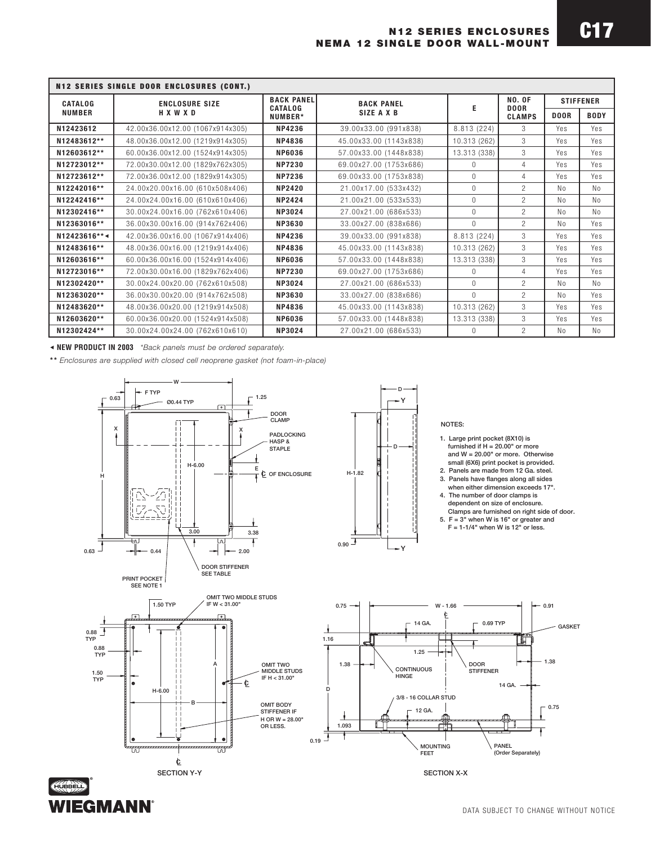| <b>N12 SERIES SINGLE DOOR ENCLOSURES (CONT.)</b> |                                  |                                                |                        |              |                              |                  |                |
|--------------------------------------------------|----------------------------------|------------------------------------------------|------------------------|--------------|------------------------------|------------------|----------------|
| <b>CATALOG</b><br><b>NUMBER</b>                  | <b>ENCLOSURE SIZE</b><br>HXWXD   | <b>BACK PANEL</b><br><b>CATALOG</b><br>NUMBER* | <b>BACK PANEL</b>      |              | <b>NO. OF</b><br><b>DOOR</b> | <b>STIFFENER</b> |                |
|                                                  |                                  |                                                | SIZE A X B             | Е            | <b>CLAMPS</b>                | <b>DOOR</b>      | <b>BODY</b>    |
| N12423612                                        | 42.00x36.00x12.00 (1067x914x305) | NP4236                                         | 39.00x33.00 (991x838)  | 8.813 (224)  | 3                            | Yes              | Yes            |
| N12483612**                                      | 48.00x36.00x12.00 (1219x914x305) | NP4836                                         | 45.00x33.00 (1143x838) | 10.313 (262) | 3                            | Yes              | Yes            |
| N12603612**                                      | 60.00x36.00x12.00 (1524x914x305) | <b>NP6036</b>                                  | 57.00x33.00 (1448x838) | 13.313 (338) | 3                            | Yes              | Yes            |
| N12723012**                                      | 72.00x30.00x12.00 (1829x762x305) | <b>NP7230</b>                                  | 69.00x27.00 (1753x686) | $\Omega$     | 4                            | Yes              | Yes            |
| N12723612**                                      | 72.00x36.00x12.00 (1829x914x305) | <b>NP7236</b>                                  | 69.00x33.00 (1753x838) | $\Omega$     | 4                            | Yes              | Yes            |
| N12242016**                                      | 24.00x20.00x16.00 (610x508x406)  | <b>NP2420</b>                                  | 21.00x17.00 (533x432)  | $\Omega$     | $\mathcal{P}$                | No.              | N <sub>0</sub> |
| N12242416**                                      | 24.00x24.00x16.00 (610x610x406)  | <b>NP2424</b>                                  | 21.00x21.00 (533x533)  | $\Omega$     | $\mathcal{P}$                | No.              | N <sub>0</sub> |
| N12302416**                                      | 30.00x24.00x16.00 (762x610x406)  | NP3024                                         | 27.00x21.00 (686x533)  | $\Omega$     | $\mathcal{P}$                | N <sub>0</sub>   | N <sub>0</sub> |
| N12363016**                                      | 36.00x30.00x16.00 (914x762x406)  | <b>NP3630</b>                                  | 33.00x27.00 (838x686)  | $\mathbf{0}$ | $\mathcal{P}$                | N <sub>0</sub>   | Yes            |
| N12423616***                                     | 42.00x36.00x16.00 (1067x914x406) | <b>NP4236</b>                                  | 39.00x33.00 (991x838)  | 8.813 (224)  | 3                            | Yes              | Yes            |
| N12483616**                                      | 48.00x36.00x16.00 (1219x914x406) | <b>NP4836</b>                                  | 45.00x33.00 (1143x838) | 10.313 (262) | 3                            | Yes              | Yes            |
| N12603616**                                      | 60.00x36.00x16.00 (1524x914x406) | <b>NP6036</b>                                  | 57.00x33.00 (1448x838) | 13.313 (338) | 3                            | Yes              | Yes            |
| N12723016**                                      | 72.00x30.00x16.00 (1829x762x406) | <b>NP7230</b>                                  | 69.00x27.00 (1753x686) | $\Omega$     | $\overline{4}$               | Yes              | Yes            |
| N12302420**                                      | 30.00x24.00x20.00 (762x610x508)  | <b>NP3024</b>                                  | 27.00x21.00 (686x533)  | $\Omega$     | $\mathcal{P}$                | No               | N <sub>0</sub> |
| N12363020**                                      | 36.00x30.00x20.00 (914x762x508)  | <b>NP3630</b>                                  | 33.00x27.00 (838x686)  | $\Omega$     | $\mathcal{P}$                | N <sub>0</sub>   | Yes            |
| N12483620**                                      | 48.00x36.00x20.00 (1219x914x508) | <b>NP4836</b>                                  | 45.00x33.00 (1143x838) | 10.313 (262) | 3                            | Yes              | Yes            |
| N12603620**                                      | 60.00x36.00x20.00 (1524x914x508) | <b>NP6036</b>                                  | 57.00x33.00 (1448x838) | 13.313 (338) | 3                            | Yes              | Yes            |
| N12302424**                                      | 30.00x24.00x24.00 (762x610x610)  | <b>NP3024</b>                                  | 27.00x21.00 (686x533)  | $\Omega$     | $\mathcal{P}$                | No.              | No             |

6 **NEW PRODUCT IN 2003** *\*Back panels must be ordered separately.*

**WIEGMANN** 

**\*\*** *Enclosures are supplied with closed cell neoprene gasket (not foam-in-place)*



DATA SUBJECT TO CHANGE WITHOUT NOTICE